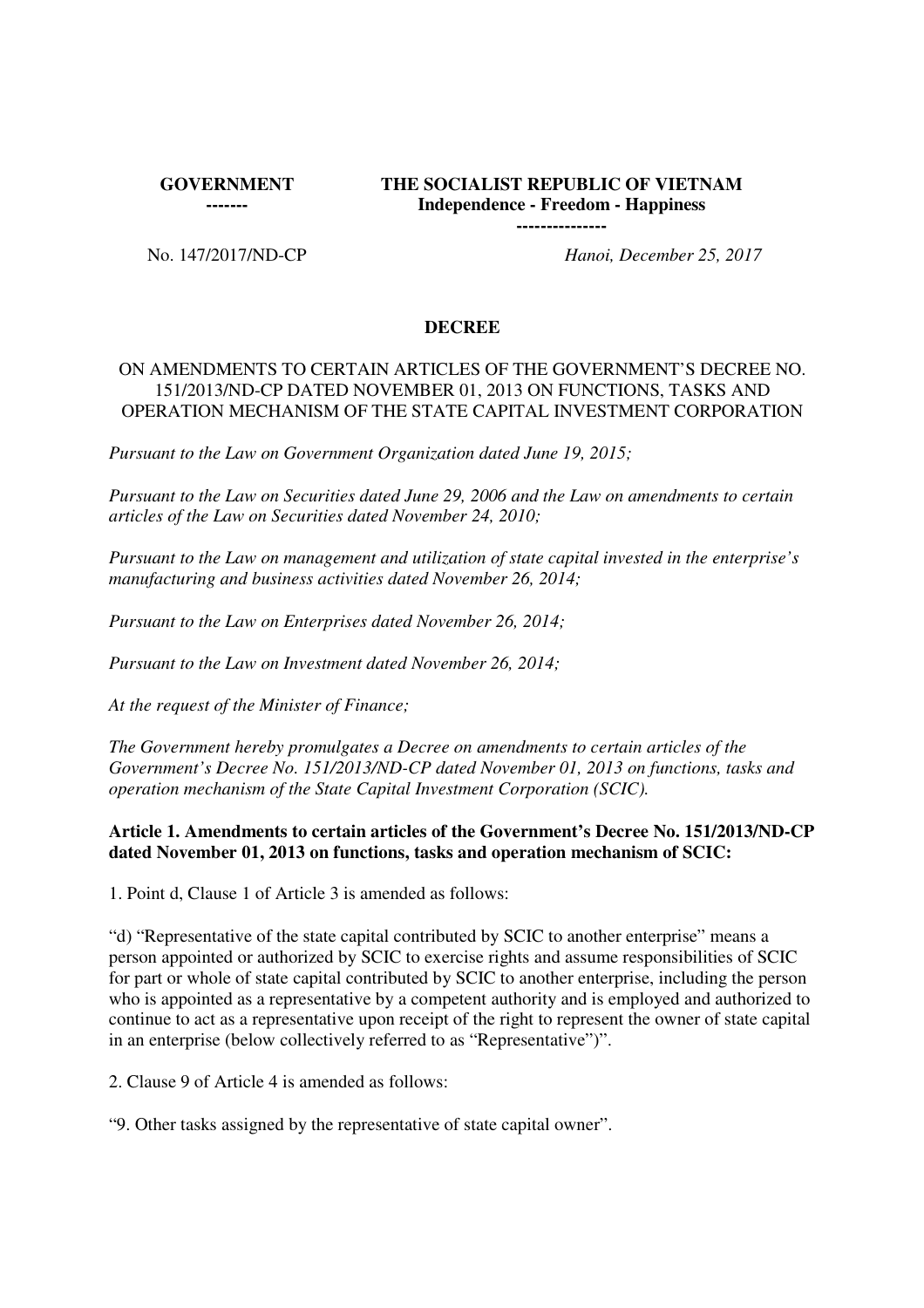**GOVERNMENT** 

**-------**

# **THE SOCIALIST REPUBLIC OF VIETNAM Independence - Freedom - Happiness**

**---------------**

No. 147/2017/ND-CP *Hanoi, December 25, 2017*

## **DECREE**

## ON AMENDMENTS TO CERTAIN ARTICLES OF THE GOVERNMENT'S DECREE NO. 151/2013/ND-CP DATED NOVEMBER 01, 2013 ON FUNCTIONS, TASKS AND OPERATION MECHANISM OF THE STATE CAPITAL INVESTMENT CORPORATION

*Pursuant to the Law on Government Organization dated June 19, 2015;*

*Pursuant to the Law on Securities dated June 29, 2006 and the Law on amendments to certain articles of the Law on Securities dated November 24, 2010;*

*Pursuant to the Law on management and utilization of state capital invested in the enterprise's manufacturing and business activities dated November 26, 2014;*

*Pursuant to the Law on Enterprises dated November 26, 2014;*

*Pursuant to the Law on Investment dated November 26, 2014;*

*At the request of the Minister of Finance;*

*The Government hereby promulgates a Decree on amendments to certain articles of the Government's Decree No. 151/2013/ND-CP dated November 01, 2013 on functions, tasks and operation mechanism of the State Capital Investment Corporation (SCIC).*

## **Article 1. Amendments to certain articles of the Government's Decree No. 151/2013/ND-CP dated November 01, 2013 on functions, tasks and operation mechanism of SCIC:**

1. Point d, Clause 1 of Article 3 is amended as follows:

"d) "Representative of the state capital contributed by SCIC to another enterprise" means a person appointed or authorized by SCIC to exercise rights and assume responsibilities of SCIC for part or whole of state capital contributed by SCIC to another enterprise, including the person who is appointed as a representative by a competent authority and is employed and authorized to continue to act as a representative upon receipt of the right to represent the owner of state capital in an enterprise (below collectively referred to as "Representative")".

2. Clause 9 of Article 4 is amended as follows:

"9. Other tasks assigned by the representative of state capital owner".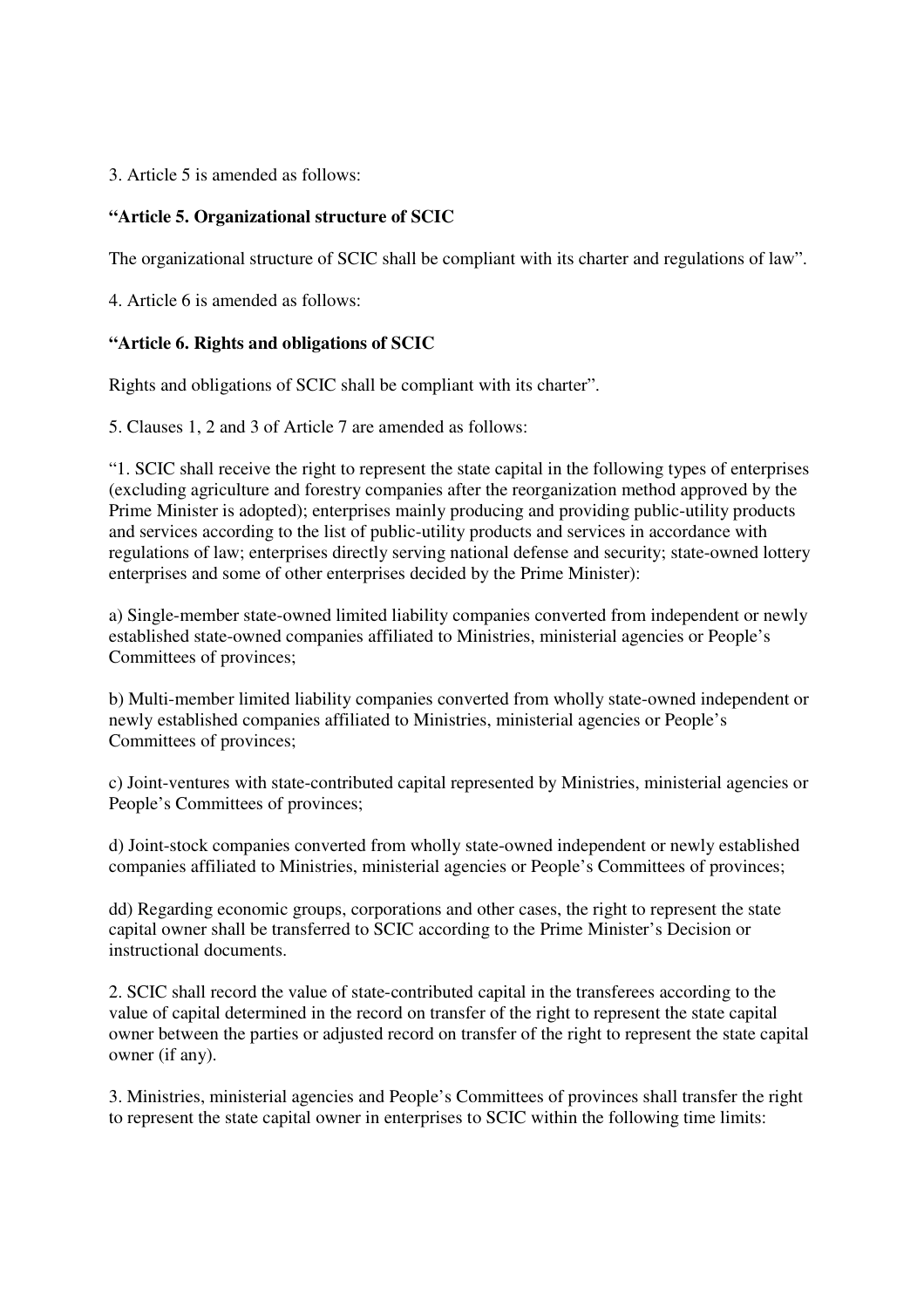3. Article 5 is amended as follows:

## **"Article 5. Organizational structure of SCIC**

The organizational structure of SCIC shall be compliant with its charter and regulations of law".

4. Article 6 is amended as follows:

## **"Article 6. Rights and obligations of SCIC**

Rights and obligations of SCIC shall be compliant with its charter".

5. Clauses 1, 2 and 3 of Article 7 are amended as follows:

"1. SCIC shall receive the right to represent the state capital in the following types of enterprises (excluding agriculture and forestry companies after the reorganization method approved by the Prime Minister is adopted); enterprises mainly producing and providing public-utility products and services according to the list of public-utility products and services in accordance with regulations of law; enterprises directly serving national defense and security; state-owned lottery enterprises and some of other enterprises decided by the Prime Minister):

a) Single-member state-owned limited liability companies converted from independent or newly established state-owned companies affiliated to Ministries, ministerial agencies or People's Committees of provinces;

b) Multi-member limited liability companies converted from wholly state-owned independent or newly established companies affiliated to Ministries, ministerial agencies or People's Committees of provinces;

c) Joint-ventures with state-contributed capital represented by Ministries, ministerial agencies or People's Committees of provinces;

d) Joint-stock companies converted from wholly state-owned independent or newly established companies affiliated to Ministries, ministerial agencies or People's Committees of provinces;

dd) Regarding economic groups, corporations and other cases, the right to represent the state capital owner shall be transferred to SCIC according to the Prime Minister's Decision or instructional documents.

2. SCIC shall record the value of state-contributed capital in the transferees according to the value of capital determined in the record on transfer of the right to represent the state capital owner between the parties or adjusted record on transfer of the right to represent the state capital owner (if any).

3. Ministries, ministerial agencies and People's Committees of provinces shall transfer the right to represent the state capital owner in enterprises to SCIC within the following time limits: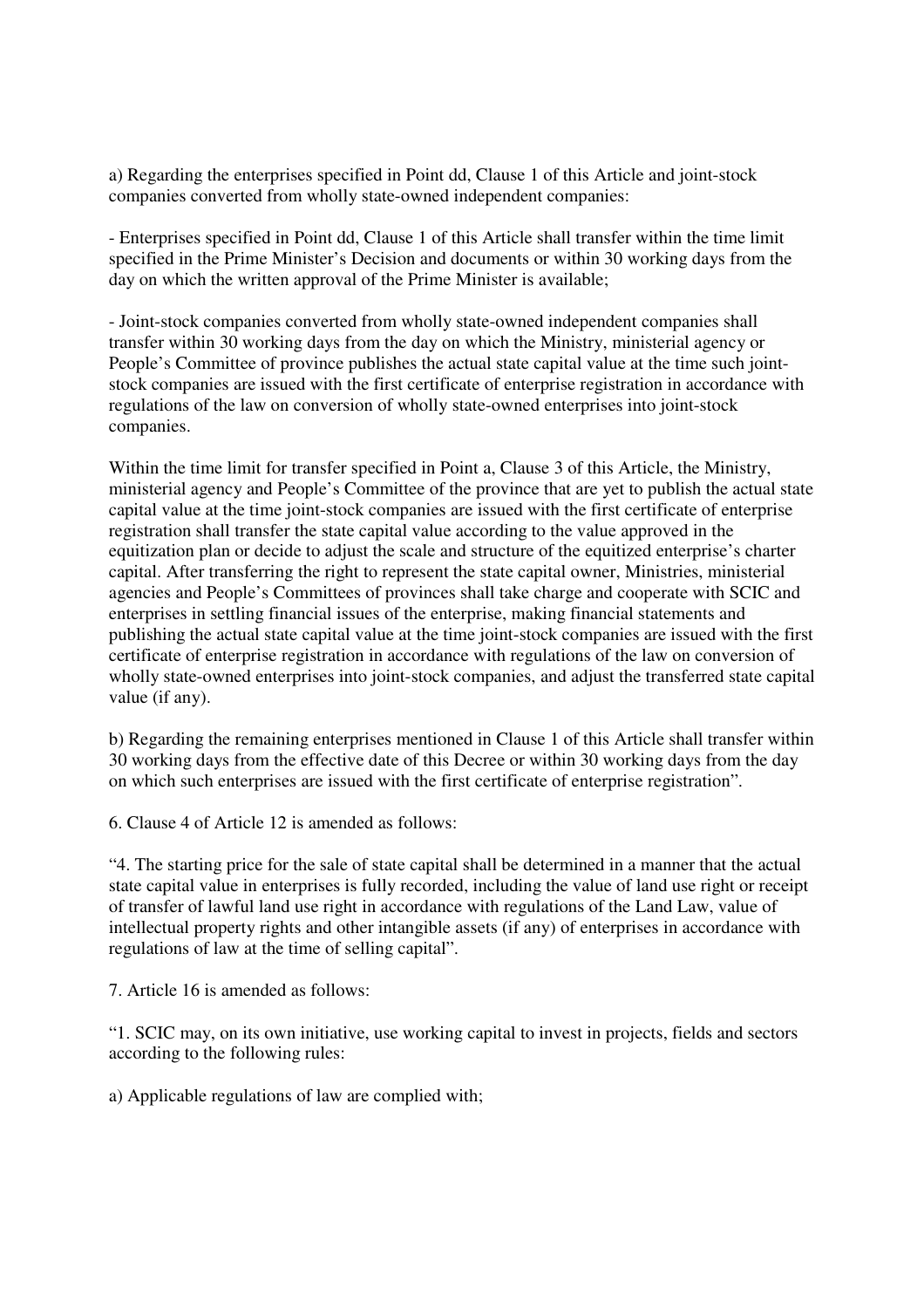a) Regarding the enterprises specified in Point dd, Clause 1 of this Article and joint-stock companies converted from wholly state-owned independent companies:

- Enterprises specified in Point dd, Clause 1 of this Article shall transfer within the time limit specified in the Prime Minister's Decision and documents or within 30 working days from the day on which the written approval of the Prime Minister is available;

- Joint-stock companies converted from wholly state-owned independent companies shall transfer within 30 working days from the day on which the Ministry, ministerial agency or People's Committee of province publishes the actual state capital value at the time such jointstock companies are issued with the first certificate of enterprise registration in accordance with regulations of the law on conversion of wholly state-owned enterprises into joint-stock companies.

Within the time limit for transfer specified in Point a, Clause 3 of this Article, the Ministry, ministerial agency and People's Committee of the province that are yet to publish the actual state capital value at the time joint-stock companies are issued with the first certificate of enterprise registration shall transfer the state capital value according to the value approved in the equitization plan or decide to adjust the scale and structure of the equitized enterprise's charter capital. After transferring the right to represent the state capital owner, Ministries, ministerial agencies and People's Committees of provinces shall take charge and cooperate with SCIC and enterprises in settling financial issues of the enterprise, making financial statements and publishing the actual state capital value at the time joint-stock companies are issued with the first certificate of enterprise registration in accordance with regulations of the law on conversion of wholly state-owned enterprises into joint-stock companies, and adjust the transferred state capital value (if any).

b) Regarding the remaining enterprises mentioned in Clause 1 of this Article shall transfer within 30 working days from the effective date of this Decree or within 30 working days from the day on which such enterprises are issued with the first certificate of enterprise registration".

6. Clause 4 of Article 12 is amended as follows:

"4. The starting price for the sale of state capital shall be determined in a manner that the actual state capital value in enterprises is fully recorded, including the value of land use right or receipt of transfer of lawful land use right in accordance with regulations of the Land Law, value of intellectual property rights and other intangible assets (if any) of enterprises in accordance with regulations of law at the time of selling capital".

7. Article 16 is amended as follows:

"1. SCIC may, on its own initiative, use working capital to invest in projects, fields and sectors according to the following rules:

a) Applicable regulations of law are complied with;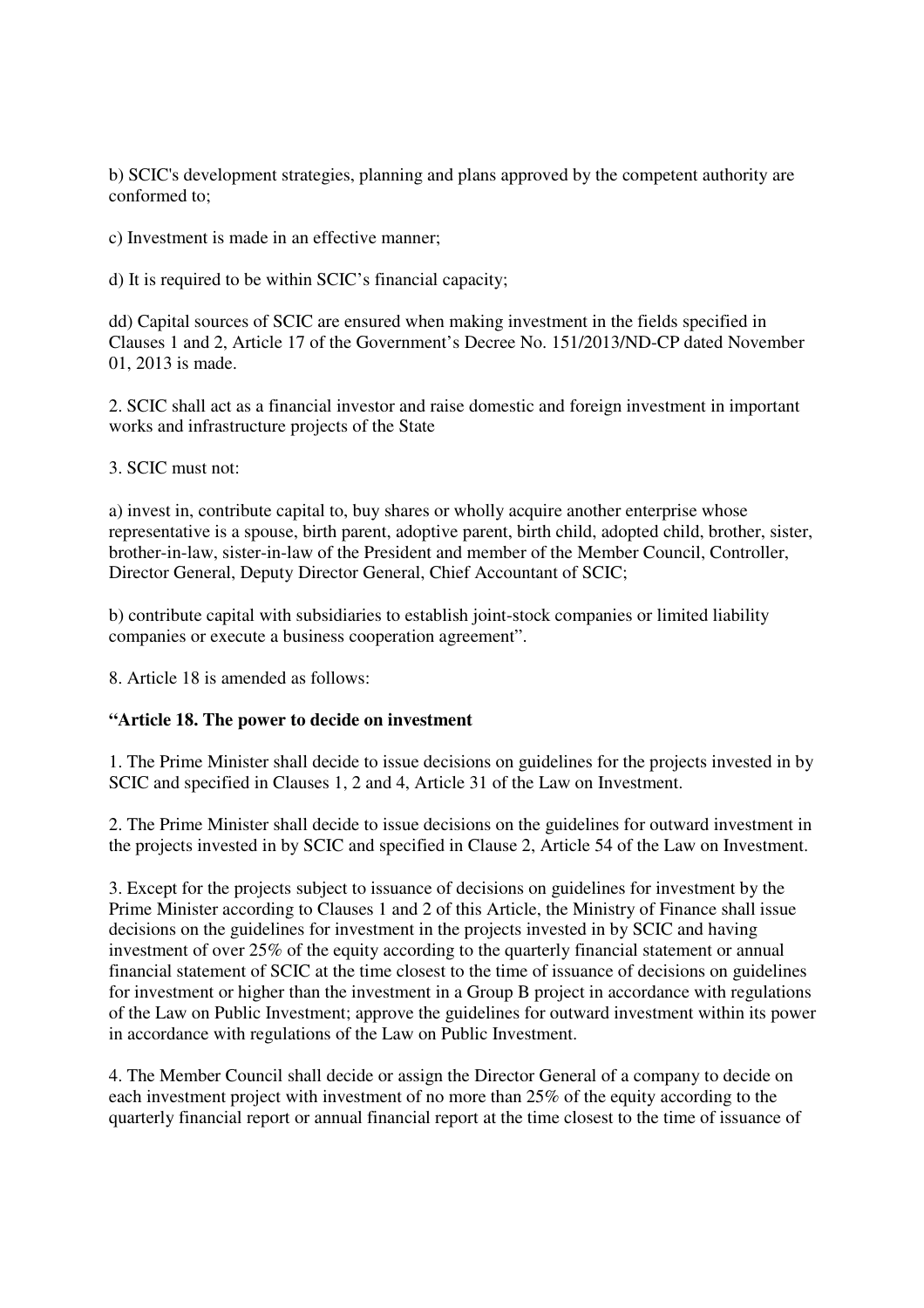b) SCIC's development strategies, planning and plans approved by the competent authority are conformed to;

c) Investment is made in an effective manner;

d) It is required to be within SCIC's financial capacity;

dd) Capital sources of SCIC are ensured when making investment in the fields specified in Clauses 1 and 2, Article 17 of the Government's Decree No. 151/2013/ND-CP dated November 01, 2013 is made.

2. SCIC shall act as a financial investor and raise domestic and foreign investment in important works and infrastructure projects of the State

3. SCIC must not:

a) invest in, contribute capital to, buy shares or wholly acquire another enterprise whose representative is a spouse, birth parent, adoptive parent, birth child, adopted child, brother, sister, brother-in-law, sister-in-law of the President and member of the Member Council, Controller, Director General, Deputy Director General, Chief Accountant of SCIC;

b) contribute capital with subsidiaries to establish joint-stock companies or limited liability companies or execute a business cooperation agreement".

8. Article 18 is amended as follows:

## **"Article 18. The power to decide on investment**

1. The Prime Minister shall decide to issue decisions on guidelines for the projects invested in by SCIC and specified in Clauses 1, 2 and 4, Article 31 of the Law on Investment.

2. The Prime Minister shall decide to issue decisions on the guidelines for outward investment in the projects invested in by SCIC and specified in Clause 2, Article 54 of the Law on Investment.

3. Except for the projects subject to issuance of decisions on guidelines for investment by the Prime Minister according to Clauses 1 and 2 of this Article, the Ministry of Finance shall issue decisions on the guidelines for investment in the projects invested in by SCIC and having investment of over 25% of the equity according to the quarterly financial statement or annual financial statement of SCIC at the time closest to the time of issuance of decisions on guidelines for investment or higher than the investment in a Group B project in accordance with regulations of the Law on Public Investment; approve the guidelines for outward investment within its power in accordance with regulations of the Law on Public Investment.

4. The Member Council shall decide or assign the Director General of a company to decide on each investment project with investment of no more than 25% of the equity according to the quarterly financial report or annual financial report at the time closest to the time of issuance of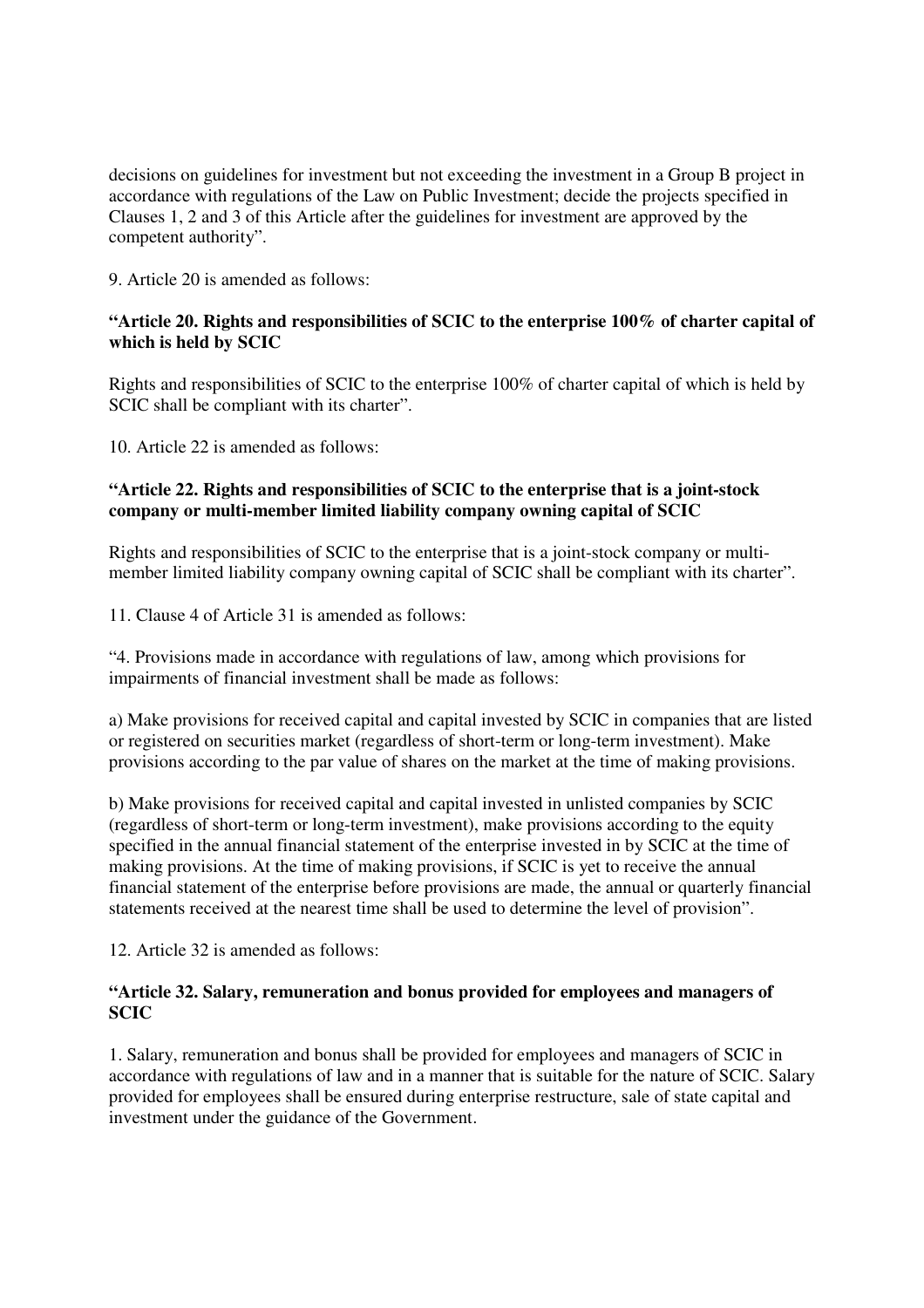decisions on guidelines for investment but not exceeding the investment in a Group B project in accordance with regulations of the Law on Public Investment; decide the projects specified in Clauses 1, 2 and 3 of this Article after the guidelines for investment are approved by the competent authority".

9. Article 20 is amended as follows:

# **"Article 20. Rights and responsibilities of SCIC to the enterprise 100% of charter capital of which is held by SCIC**

Rights and responsibilities of SCIC to the enterprise 100% of charter capital of which is held by SCIC shall be compliant with its charter".

10. Article 22 is amended as follows:

# **"Article 22. Rights and responsibilities of SCIC to the enterprise that is a joint-stock company or multi-member limited liability company owning capital of SCIC**

Rights and responsibilities of SCIC to the enterprise that is a joint-stock company or multimember limited liability company owning capital of SCIC shall be compliant with its charter".

11. Clause 4 of Article 31 is amended as follows:

"4. Provisions made in accordance with regulations of law, among which provisions for impairments of financial investment shall be made as follows:

a) Make provisions for received capital and capital invested by SCIC in companies that are listed or registered on securities market (regardless of short-term or long-term investment). Make provisions according to the par value of shares on the market at the time of making provisions.

b) Make provisions for received capital and capital invested in unlisted companies by SCIC (regardless of short-term or long-term investment), make provisions according to the equity specified in the annual financial statement of the enterprise invested in by SCIC at the time of making provisions. At the time of making provisions, if SCIC is yet to receive the annual financial statement of the enterprise before provisions are made, the annual or quarterly financial statements received at the nearest time shall be used to determine the level of provision".

12. Article 32 is amended as follows:

## **"Article 32. Salary, remuneration and bonus provided for employees and managers of SCIC**

1. Salary, remuneration and bonus shall be provided for employees and managers of SCIC in accordance with regulations of law and in a manner that is suitable for the nature of SCIC. Salary provided for employees shall be ensured during enterprise restructure, sale of state capital and investment under the guidance of the Government.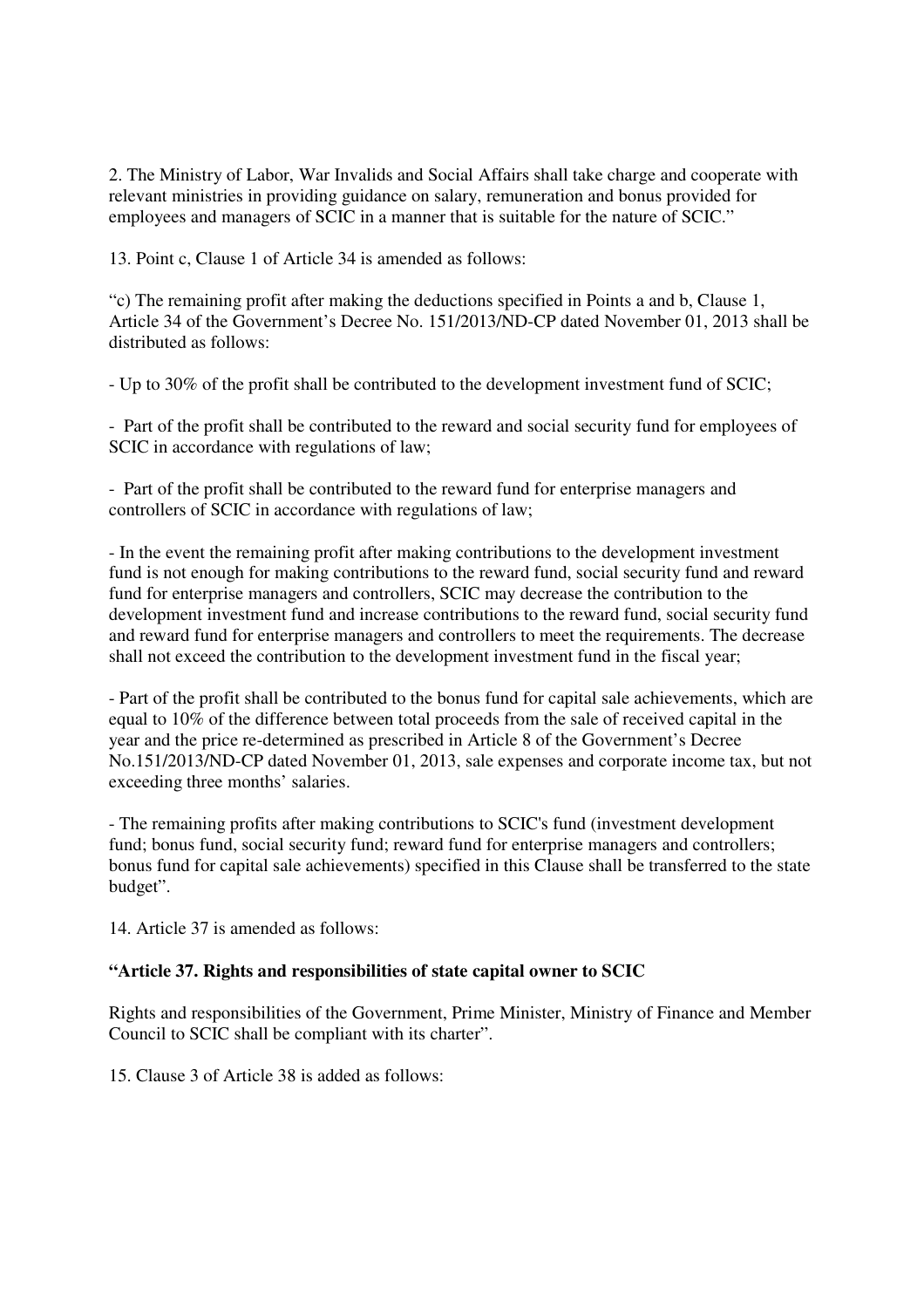2. The Ministry of Labor, War Invalids and Social Affairs shall take charge and cooperate with relevant ministries in providing guidance on salary, remuneration and bonus provided for employees and managers of SCIC in a manner that is suitable for the nature of SCIC."

13. Point c, Clause 1 of Article 34 is amended as follows:

"c) The remaining profit after making the deductions specified in Points a and b, Clause 1, Article 34 of the Government's Decree No. 151/2013/ND-CP dated November 01, 2013 shall be distributed as follows:

- Up to 30% of the profit shall be contributed to the development investment fund of SCIC;

- Part of the profit shall be contributed to the reward and social security fund for employees of SCIC in accordance with regulations of law;

- Part of the profit shall be contributed to the reward fund for enterprise managers and controllers of SCIC in accordance with regulations of law;

- In the event the remaining profit after making contributions to the development investment fund is not enough for making contributions to the reward fund, social security fund and reward fund for enterprise managers and controllers, SCIC may decrease the contribution to the development investment fund and increase contributions to the reward fund, social security fund and reward fund for enterprise managers and controllers to meet the requirements. The decrease shall not exceed the contribution to the development investment fund in the fiscal year;

- Part of the profit shall be contributed to the bonus fund for capital sale achievements, which are equal to 10% of the difference between total proceeds from the sale of received capital in the year and the price re-determined as prescribed in Article 8 of the Government's Decree No.151/2013/ND-CP dated November 01, 2013, sale expenses and corporate income tax, but not exceeding three months' salaries.

- The remaining profits after making contributions to SCIC's fund (investment development fund; bonus fund, social security fund; reward fund for enterprise managers and controllers; bonus fund for capital sale achievements) specified in this Clause shall be transferred to the state budget".

14. Article 37 is amended as follows:

## **"Article 37. Rights and responsibilities of state capital owner to SCIC**

Rights and responsibilities of the Government, Prime Minister, Ministry of Finance and Member Council to SCIC shall be compliant with its charter".

15. Clause 3 of Article 38 is added as follows: